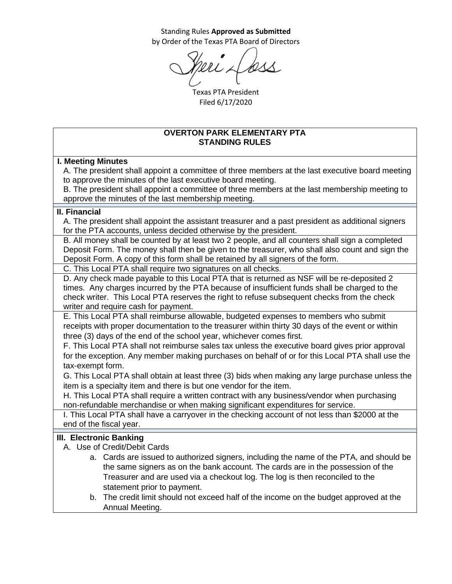Standing Rules **Approved as Submitted** by Order of the Texas PTA Board of Directors

Texas PTA President Filed 6/17/2020

### **OVERTON PARK ELEMENTARY PTA STANDING RULES**

### **I. Meeting Minutes**

A. The president shall appoint a committee of three members at the last executive board meeting to approve the minutes of the last executive board meeting.

B. The president shall appoint a committee of three members at the last membership meeting to approve the minutes of the last membership meeting.

#### **II. Financial**

A. The president shall appoint the assistant treasurer and a past president as additional signers for the PTA accounts, unless decided otherwise by the president.

B. All money shall be counted by at least two 2 people, and all counters shall sign a completed Deposit Form. The money shall then be given to the treasurer, who shall also count and sign the Deposit Form. A copy of this form shall be retained by all signers of the form.

C. This Local PTA shall require two signatures on all checks.

D. Any check made payable to this Local PTA that is returned as NSF will be re-deposited 2 times. Any charges incurred by the PTA because of insufficient funds shall be charged to the check writer. This Local PTA reserves the right to refuse subsequent checks from the check writer and require cash for payment.

E. This Local PTA shall reimburse allowable, budgeted expenses to members who submit receipts with proper documentation to the treasurer within thirty 30 days of the event or within three (3) days of the end of the school year, whichever comes first.

F. This Local PTA shall not reimburse sales tax unless the executive board gives prior approval for the exception. Any member making purchases on behalf of or for this Local PTA shall use the tax-exempt form.

G. This Local PTA shall obtain at least three (3) bids when making any large purchase unless the item is a specialty item and there is but one vendor for the item.

H. This Local PTA shall require a written contract with any business/vendor when purchasing non-refundable merchandise or when making significant expenditures for service.

I. This Local PTA shall have a carryover in the checking account of not less than \$2000 at the end of the fiscal year.

## **III. Electronic Banking**

- A. Use of Credit/Debit Cards
	- a. Cards are issued to authorized signers, including the name of the PTA, and should be the same signers as on the bank account. The cards are in the possession of the Treasurer and are used via a checkout log. The log is then reconciled to the statement prior to payment.
	- b. The credit limit should not exceed half of the income on the budget approved at the Annual Meeting.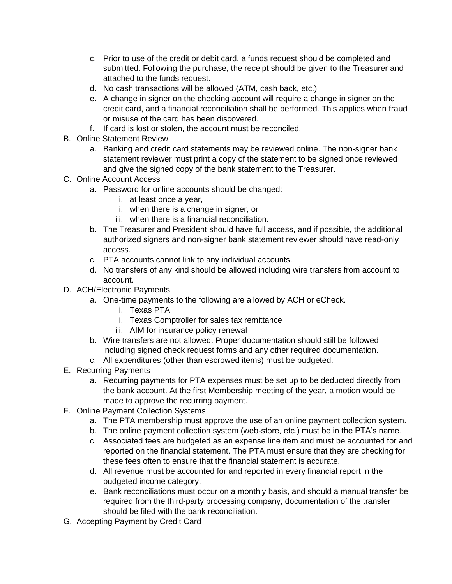- c. Prior to use of the credit or debit card, a funds request should be completed and submitted. Following the purchase, the receipt should be given to the Treasurer and attached to the funds request.
- d. No cash transactions will be allowed (ATM, cash back, etc.)
- e. A change in signer on the checking account will require a change in signer on the credit card, and a financial reconciliation shall be performed. This applies when fraud or misuse of the card has been discovered.
- f. If card is lost or stolen, the account must be reconciled.
- B. Online Statement Review
	- a. Banking and credit card statements may be reviewed online. The non-signer bank statement reviewer must print a copy of the statement to be signed once reviewed and give the signed copy of the bank statement to the Treasurer.
- C. Online Account Access
	- a. Password for online accounts should be changed:
		- i. at least once a year,
		- ii. when there is a change in signer, or
		- iii. when there is a financial reconciliation.
	- b. The Treasurer and President should have full access, and if possible, the additional authorized signers and non-signer bank statement reviewer should have read-only access.
	- c. PTA accounts cannot link to any individual accounts.
	- d. No transfers of any kind should be allowed including wire transfers from account to account.
- D. ACH/Electronic Payments
	- a. One-time payments to the following are allowed by ACH or eCheck.
		- i. Texas PTA
		- ii. Texas Comptroller for sales tax remittance
		- iii. AIM for insurance policy renewal
	- b. Wire transfers are not allowed. Proper documentation should still be followed including signed check request forms and any other required documentation.
	- c. All expenditures (other than escrowed items) must be budgeted.
- E. Recurring Payments
	- a. Recurring payments for PTA expenses must be set up to be deducted directly from the bank account. At the first Membership meeting of the year, a motion would be made to approve the recurring payment.
- F. Online Payment Collection Systems
	- a. The PTA membership must approve the use of an online payment collection system.
	- b. The online payment collection system (web-store, etc.) must be in the PTA's name.
	- c. Associated fees are budgeted as an expense line item and must be accounted for and reported on the financial statement. The PTA must ensure that they are checking for these fees often to ensure that the financial statement is accurate.
	- d. All revenue must be accounted for and reported in every financial report in the budgeted income category.
	- e. Bank reconciliations must occur on a monthly basis, and should a manual transfer be required from the third-party processing company, documentation of the transfer should be filed with the bank reconciliation.
- G. Accepting Payment by Credit Card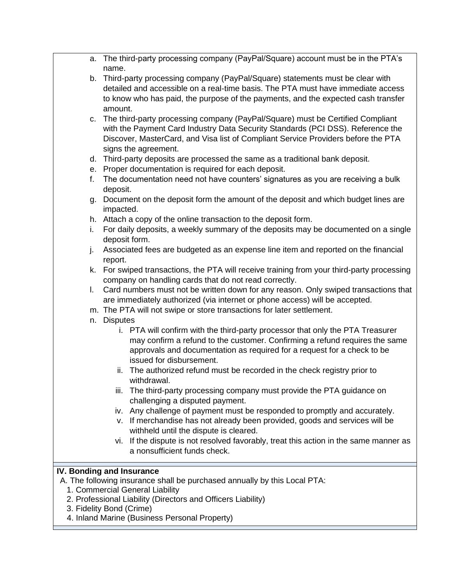- a. The third-party processing company (PayPal/Square) account must be in the PTA's name.
- b. Third-party processing company (PayPal/Square) statements must be clear with detailed and accessible on a real-time basis. The PTA must have immediate access to know who has paid, the purpose of the payments, and the expected cash transfer amount.
- c. The third-party processing company (PayPal/Square) must be Certified Compliant with the Payment Card Industry Data Security Standards (PCI DSS). Reference the Discover, MasterCard, and Visa list of Compliant Service Providers before the PTA signs the agreement.
- d. Third-party deposits are processed the same as a traditional bank deposit.
- e. Proper documentation is required for each deposit.
- f. The documentation need not have counters' signatures as you are receiving a bulk deposit.
- g. Document on the deposit form the amount of the deposit and which budget lines are impacted.
- h. Attach a copy of the online transaction to the deposit form.
- i. For daily deposits, a weekly summary of the deposits may be documented on a single deposit form.
- j. Associated fees are budgeted as an expense line item and reported on the financial report.
- k. For swiped transactions, the PTA will receive training from your third-party processing company on handling cards that do not read correctly.
- l. Card numbers must not be written down for any reason. Only swiped transactions that are immediately authorized (via internet or phone access) will be accepted.
- m. The PTA will not swipe or store transactions for later settlement.
- n. Disputes
	- i. PTA will confirm with the third-party processor that only the PTA Treasurer may confirm a refund to the customer. Confirming a refund requires the same approvals and documentation as required for a request for a check to be issued for disbursement.
	- ii. The authorized refund must be recorded in the check registry prior to withdrawal.
	- iii. The third-party processing company must provide the PTA guidance on challenging a disputed payment.
	- iv. Any challenge of payment must be responded to promptly and accurately.
	- v. If merchandise has not already been provided, goods and services will be withheld until the dispute is cleared.
	- vi. If the dispute is not resolved favorably, treat this action in the same manner as a nonsufficient funds check.

## **IV. Bonding and Insurance**

- A. The following insurance shall be purchased annually by this Local PTA:
	- 1. Commercial General Liability
	- 2. Professional Liability (Directors and Officers Liability)
	- 3. Fidelity Bond (Crime)
	- 4. Inland Marine (Business Personal Property)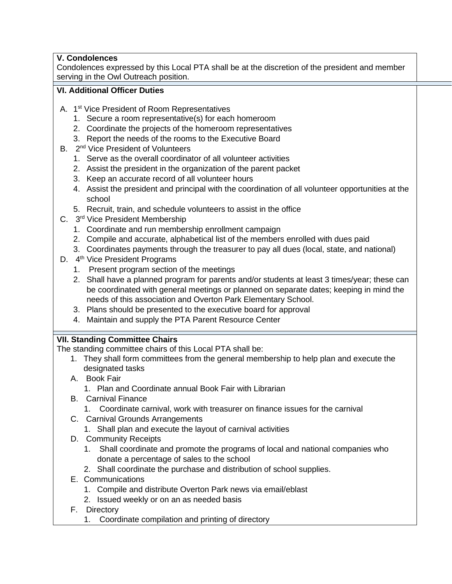# **V. Condolences**

Condolences expressed by this Local PTA shall be at the discretion of the president and member serving in the Owl Outreach position.

## **VI. Additional Officer Duties**

- A. 1<sup>st</sup> Vice President of Room Representatives
	- 1. Secure a room representative(s) for each homeroom
	- 2. Coordinate the projects of the homeroom representatives
	- 3. Report the needs of the rooms to the Executive Board
- B. 2<sup>nd</sup> Vice President of Volunteers
	- 1. Serve as the overall coordinator of all volunteer activities
	- 2. Assist the president in the organization of the parent packet
	- 3. Keep an accurate record of all volunteer hours
	- 4. Assist the president and principal with the coordination of all volunteer opportunities at the school
	- 5. Recruit, train, and schedule volunteers to assist in the office
- C. 3<sup>rd</sup> Vice President Membership
	- 1. Coordinate and run membership enrollment campaign
	- 2. Compile and accurate, alphabetical list of the members enrolled with dues paid
	- 3. Coordinates payments through the treasurer to pay all dues (local, state, and national)
- D. 4<sup>th</sup> Vice President Programs
	- 1. Present program section of the meetings
	- 2. Shall have a planned program for parents and/or students at least 3 times/year; these can be coordinated with general meetings or planned on separate dates; keeping in mind the needs of this association and Overton Park Elementary School.
	- 3. Plans should be presented to the executive board for approval
	- 4. Maintain and supply the PTA Parent Resource Center

## **VII. Standing Committee Chairs**

The standing committee chairs of this Local PTA shall be:

- 1. They shall form committees from the general membership to help plan and execute the designated tasks
- A. Book Fair
	- 1. Plan and Coordinate annual Book Fair with Librarian
- B. Carnival Finance
	- 1. Coordinate carnival, work with treasurer on finance issues for the carnival
- C. Carnival Grounds Arrangements
	- 1. Shall plan and execute the layout of carnival activities
- D. Community Receipts
	- 1. Shall coordinate and promote the programs of local and national companies who donate a percentage of sales to the school
	- 2. Shall coordinate the purchase and distribution of school supplies.
- E. Communications
	- 1. Compile and distribute Overton Park news via email/eblast
	- 2. Issued weekly or on an as needed basis
- F. Directory
	- 1. Coordinate compilation and printing of directory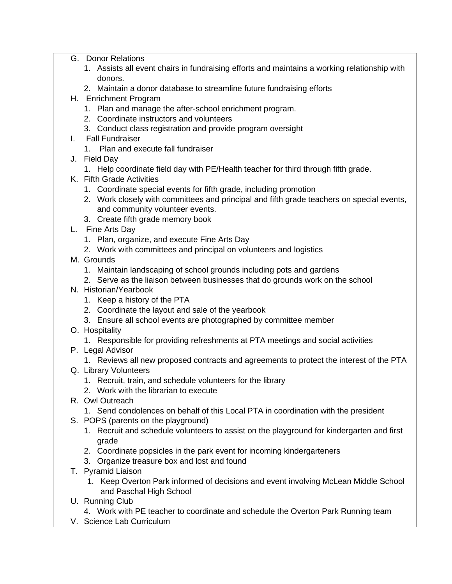- G. Donor Relations
	- 1. Assists all event chairs in fundraising efforts and maintains a working relationship with donors.
	- 2. Maintain a donor database to streamline future fundraising efforts
- H. Enrichment Program
	- 1. Plan and manage the after-school enrichment program.
	- 2. Coordinate instructors and volunteers
	- 3. Conduct class registration and provide program oversight
- I. Fall Fundraiser
	- 1. Plan and execute fall fundraiser
- J. Field Day
	- 1. Help coordinate field day with PE/Health teacher for third through fifth grade.
- K. Fifth Grade Activities
	- 1. Coordinate special events for fifth grade, including promotion
	- 2. Work closely with committees and principal and fifth grade teachers on special events, and community volunteer events.
	- 3. Create fifth grade memory book
- L. Fine Arts Day
	- 1. Plan, organize, and execute Fine Arts Day
	- 2. Work with committees and principal on volunteers and logistics
- M. Grounds
	- 1. Maintain landscaping of school grounds including pots and gardens
	- 2. Serve as the liaison between businesses that do grounds work on the school
- N. Historian/Yearbook
	- 1. Keep a history of the PTA
	- 2. Coordinate the layout and sale of the yearbook
	- 3. Ensure all school events are photographed by committee member
- O. Hospitality
	- 1. Responsible for providing refreshments at PTA meetings and social activities
- P. Legal Advisor
	- 1. Reviews all new proposed contracts and agreements to protect the interest of the PTA
- Q. Library Volunteers
	- 1. Recruit, train, and schedule volunteers for the library
	- 2. Work with the librarian to execute
- R. Owl Outreach
	- 1. Send condolences on behalf of this Local PTA in coordination with the president
- S. POPS (parents on the playground)
	- 1. Recruit and schedule volunteers to assist on the playground for kindergarten and first grade
	- 2. Coordinate popsicles in the park event for incoming kindergarteners
	- 3. Organize treasure box and lost and found
- T. Pyramid Liaison
	- 1. Keep Overton Park informed of decisions and event involving McLean Middle School and Paschal High School
- U. Running Club
	- 4. Work with PE teacher to coordinate and schedule the Overton Park Running team
- V. Science Lab Curriculum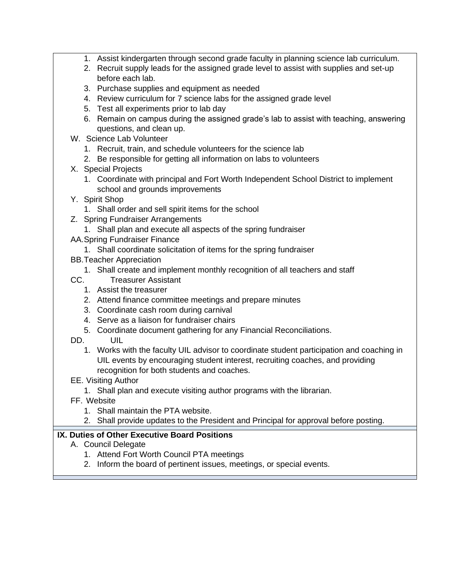- 1. Assist kindergarten through second grade faculty in planning science lab curriculum.
- 2. Recruit supply leads for the assigned grade level to assist with supplies and set-up before each lab.
- 3. Purchase supplies and equipment as needed
- 4. Review curriculum for 7 science labs for the assigned grade level
- 5. Test all experiments prior to lab day
- 6. Remain on campus during the assigned grade's lab to assist with teaching, answering questions, and clean up.
- W. Science Lab Volunteer
	- 1. Recruit, train, and schedule volunteers for the science lab
	- 2. Be responsible for getting all information on labs to volunteers
- X. Special Projects
	- 1. Coordinate with principal and Fort Worth Independent School District to implement school and grounds improvements
- Y. Spirit Shop
	- 1. Shall order and sell spirit items for the school
- Z. Spring Fundraiser Arrangements
	- 1. Shall plan and execute all aspects of the spring fundraiser
- AA.Spring Fundraiser Finance
	- 1. Shall coordinate solicitation of items for the spring fundraiser
- BB.Teacher Appreciation
	- 1. Shall create and implement monthly recognition of all teachers and staff
- CC. Treasurer Assistant
	- 1. Assist the treasurer
	- 2. Attend finance committee meetings and prepare minutes
	- 3. Coordinate cash room during carnival
	- 4. Serve as a liaison for fundraiser chairs
	- 5. Coordinate document gathering for any Financial Reconciliations.
- DD. UIL
	- 1. Works with the faculty UIL advisor to coordinate student participation and coaching in UIL events by encouraging student interest, recruiting coaches, and providing recognition for both students and coaches.
- EE. Visiting Author
	- 1. Shall plan and execute visiting author programs with the librarian.
- FF. Website
	- 1. Shall maintain the PTA website.
	- 2. Shall provide updates to the President and Principal for approval before posting.

# **IX. Duties of Other Executive Board Positions**

- A. Council Delegate
	- 1. Attend Fort Worth Council PTA meetings
	- 2. Inform the board of pertinent issues, meetings, or special events.